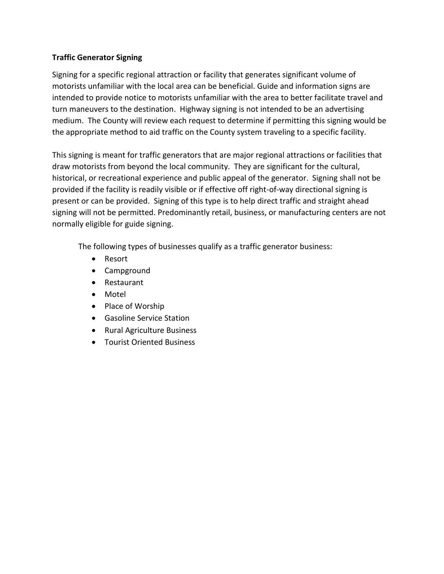## **Traffic Generator Signing**

Signing for a specific regional attraction or facility that generates significant volume of motorists unfamiliar with the local area can be beneficial. Guide and information signs are intended to provide notice to motorists unfamiliar with the area to better facilitate travel and turn maneuvers to the destination. Highway signing is not intended to be an advertising medium. The County will review each request to determine if permitting this signing would be the appropriate method to aid traffic on the County system traveling to a specific facility.

This signing is meant for traffic generators that are major regional attractions or facilities that draw motorists from beyond the local community. They are significant for the cultural, historical, or recreational experience and public appeal of the generator. Signing shall not be provided if the facility is readily visible or if effective off right-of-way directional signing is present or can be provided. Signing of this type is to help direct traffic and straight ahead signing will not be permitted. Predominantly retail, business, or manufacturing centers are not normally eligible for guide signing.

The following types of businesses qualify as a traffic generator business:

- Resort
- Campground
- Restaurant
- Motel
- Place of Worship
- Gasoline Service Station
- Rural Agriculture Business
- **•** Tourist Oriented Business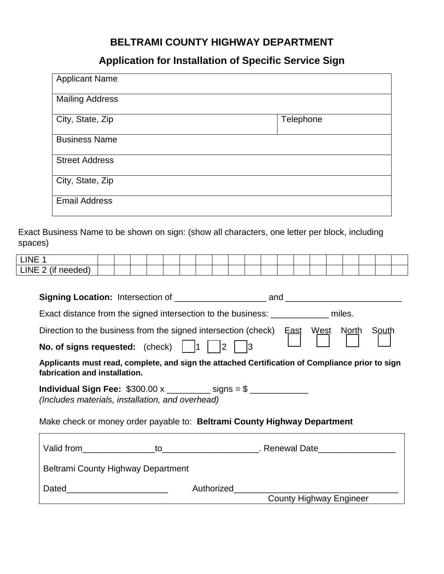## **BELTRAMI COUNTY HIGHWAY DEPARTMENT**

## **Application for Installation of Specific Service Sign**

| <b>Applicant Name</b>  |           |
|------------------------|-----------|
| <b>Mailing Address</b> |           |
| City, State, Zip       | Telephone |
| <b>Business Name</b>   |           |
| <b>Street Address</b>  |           |
| City, State, Zip       |           |
| <b>Email Address</b>   |           |

Exact Business Name to be shown on sign: (show all characters, one letter per block, including spaces)

| <b>LINE</b>            |  |  |  |  |  |  |  |  |  |  |
|------------------------|--|--|--|--|--|--|--|--|--|--|
| LINE 2 (if<br>1AANAA 1 |  |  |  |  |  |  |  |  |  |  |

| Exact distance from the signed intersection to the business: _____________ miles.                                                                                                                         |                              |                                |  |       |  |  |  |  |
|-----------------------------------------------------------------------------------------------------------------------------------------------------------------------------------------------------------|------------------------------|--------------------------------|--|-------|--|--|--|--|
| Direction to the business from the signed intersection (check) East West North                                                                                                                            |                              |                                |  | South |  |  |  |  |
| <b>No. of signs requested:</b> (check) $\begin{vmatrix} 1 & 1 \end{vmatrix}$                                                                                                                              | $ 2\rangle$                  |                                |  |       |  |  |  |  |
| Applicants must read, complete, and sign the attached Certification of Compliance prior to sign<br>fabrication and installation.                                                                          |                              |                                |  |       |  |  |  |  |
| Individual Sign Fee: $$300.00 \times$ __________ signs = \$ _____________<br>(Includes materials, installation, and overhead)<br>Make check or money order payable to: Beltrami County Highway Department |                              |                                |  |       |  |  |  |  |
|                                                                                                                                                                                                           |                              |                                |  |       |  |  |  |  |
| Beltrami County Highway Department                                                                                                                                                                        |                              |                                |  |       |  |  |  |  |
|                                                                                                                                                                                                           | Authorized <b>Authorized</b> |                                |  |       |  |  |  |  |
|                                                                                                                                                                                                           |                              | <b>County Highway Engineer</b> |  |       |  |  |  |  |